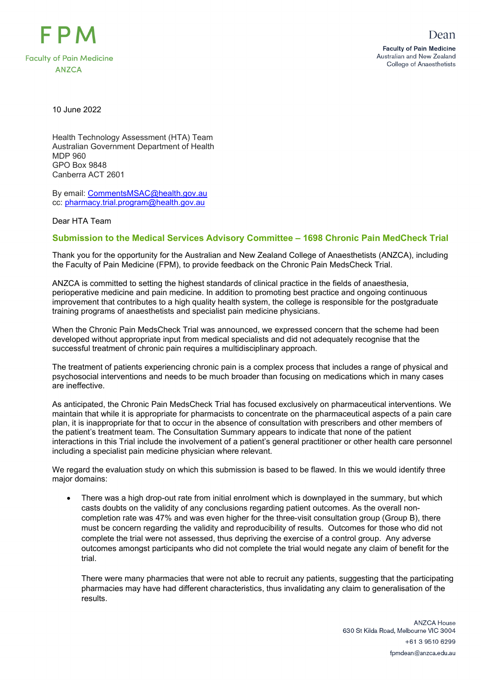

10 June 2022

Health Technology Assessment (HTA) Team Australian Government Department of Health MDP 960 GPO Box 9848 Canberra ACT 2601

By email: [CommentsMSAC@health.gov.au](mailto:CommentsMSAC@health.gov.au) cc: [pharmacy.trial.program@health.gov.au](mailto:pharmacy.trial.program@health.gov.au)

Dear HTA Team

## **Submission to the Medical Services Advisory Committee – 1698 Chronic Pain MedCheck Trial**

Thank you for the opportunity for the Australian and New Zealand College of Anaesthetists (ANZCA), including the Faculty of Pain Medicine (FPM), to provide feedback on the Chronic Pain MedsCheck Trial.

ANZCA is committed to setting the highest standards of clinical practice in the fields of anaesthesia, perioperative medicine and pain medicine. In addition to promoting best practice and ongoing continuous improvement that contributes to a high quality health system, the college is responsible for the postgraduate training programs of anaesthetists and specialist pain medicine physicians.

When the Chronic Pain MedsCheck Trial was announced, we expressed concern that the scheme had been developed without appropriate input from medical specialists and did not adequately recognise that the successful treatment of chronic pain requires a multidisciplinary approach.

The treatment of patients experiencing chronic pain is a complex process that includes a range of physical and psychosocial interventions and needs to be much broader than focusing on medications which in many cases are ineffective.

As anticipated, the Chronic Pain MedsCheck Trial has focused exclusively on pharmaceutical interventions. We maintain that while it is appropriate for pharmacists to concentrate on the pharmaceutical aspects of a pain care plan, it is inappropriate for that to occur in the absence of consultation with prescribers and other members of the patient's treatment team. The Consultation Summary appears to indicate that none of the patient interactions in this Trial include the involvement of a patient's general practitioner or other health care personnel including a specialist pain medicine physician where relevant.

We regard the evaluation study on which this submission is based to be flawed. In this we would identify three major domains:

• There was a high drop-out rate from initial enrolment which is downplayed in the summary, but which casts doubts on the validity of any conclusions regarding patient outcomes. As the overall noncompletion rate was 47% and was even higher for the three-visit consultation group (Group B), there must be concern regarding the validity and reproducibility of results. Outcomes for those who did not complete the trial were not assessed, thus depriving the exercise of a control group. Any adverse outcomes amongst participants who did not complete the trial would negate any claim of benefit for the trial.

There were many pharmacies that were not able to recruit any patients, suggesting that the participating pharmacies may have had different characteristics, thus invalidating any claim to generalisation of the results.